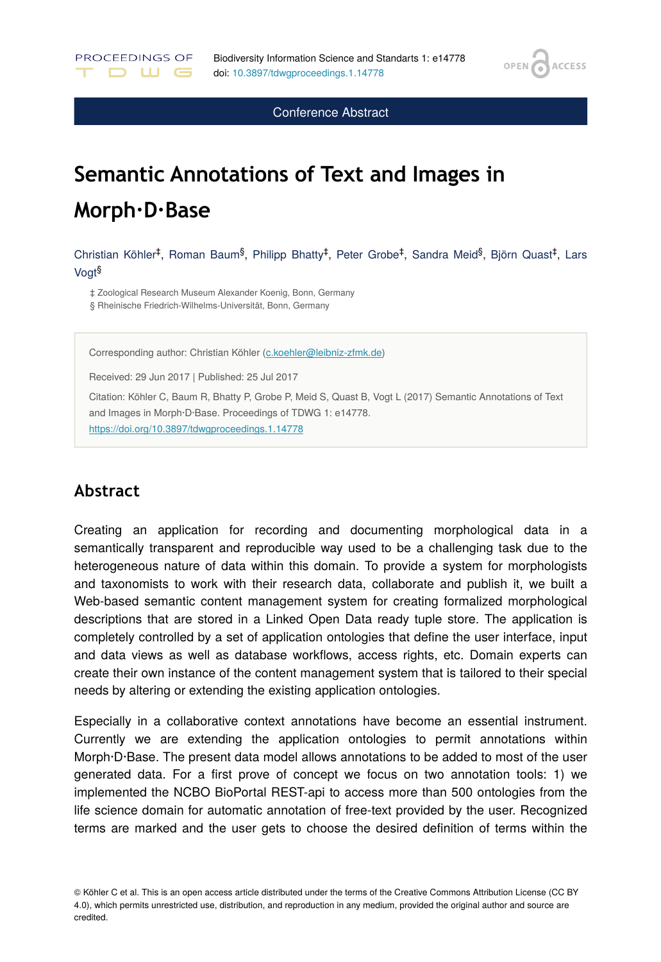OPEN<sub>6</sub>

**ACCESS** 

Conference Abstract

# **Semantic Annotations of Text and Images in Morph∙D∙Base**

Christian Köhler<sup>‡</sup>, Roman Baum<sup>§</sup>, Philipp Bhatty<sup>‡</sup>, Peter Grobe<sup>‡</sup>, Sandra Meid<sup>§</sup>, Björn Quast<sup>‡</sup>, Lars Vogt §

‡ Zoological Research Museum Alexander Koenig, Bonn, Germany § Rheinische Friedrich-Wilhelms-Universität, Bonn, Germany

Corresponding author: Christian Köhler [\(c.koehler@leibniz-zfmk.de](mailto:c.koehler@leibniz-zfmk.de))

Received: 29 Jun 2017 | Published: 25 Jul 2017

Citation: Köhler C, Baum R, Bhatty P, Grobe P, Meid S, Quast B, Vogt L (2017) Semantic Annotations of Text and Images in Morph·D·Base. Proceedings of TDWG 1: e14778. <https://doi.org/10.3897/tdwgproceedings.1.14778>

#### **Abstract**

PROCEEDINGS OF

D W G

Creating an application for recording and documenting morphological data in a semantically transparent and reproducible way used to be a challenging task due to the heterogeneous nature of data within this domain. To provide a system for morphologists and taxonomists to work with their research data, collaborate and publish it, we built a Web-based semantic content management system for creating formalized morphological descriptions that are stored in a Linked Open Data ready tuple store. The application is completely controlled by a set of application ontologies that define the user interface, input and data views as well as database workflows, access rights, etc. Domain experts can create their own instance of the content management system that is tailored to their special needs by altering or extending the existing application ontologies.

Especially in a collaborative context annotations have become an essential instrument. Currently we are extending the application ontologies to permit annotations within Morph·D·Base. The present data model allows annotations to be added to most of the user generated data. For a first prove of concept we focus on two annotation tools: 1) we implemented the NCBO BioPortal REST-api to access more than 500 ontologies from the life science domain for automatic annotation of free-text provided by the user. Recognized terms are marked and the user gets to choose the desired definition of terms within the

<sup>©</sup> Köhler C et al. This is an open access article distributed under the terms of the Creative Commons Attribution License (CC BY 4.0), which permits unrestricted use, distribution, and reproduction in any medium, provided the original author and source are credited.